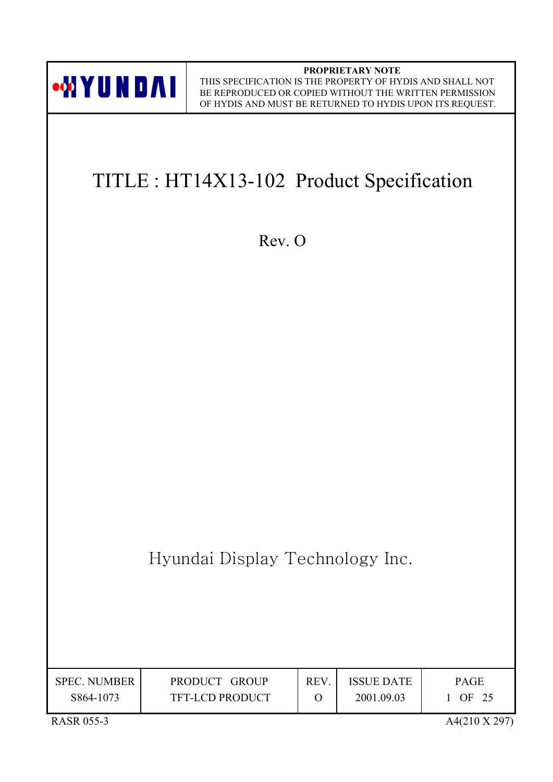

**PROPRIETARY NOTE** THIS SPECIFICATION IS THE PROPERTY OF HYDIS AND SHALL NOT BE REPRODUCED OR COPIED WITHOUT THE WRITTEN PERMISSION OF HYDIS AND MUST BE RETURNED TO HYDIS UPON ITS REQUEST.

# TITLE : HT14X13-102 Product Specification

Rev. O

Hyundai Display Technology Inc.

| <b>SPEC. NUMBER</b><br>S864-1073 | PRODUCT GROUP<br><b>TFT-LCD PRODUCT</b> | <b>REV</b> | <b>ISSUE DATE</b><br>2001.09.03 | <b>PAGE</b><br>OF 25 |
|----------------------------------|-----------------------------------------|------------|---------------------------------|----------------------|
|                                  |                                         |            |                                 |                      |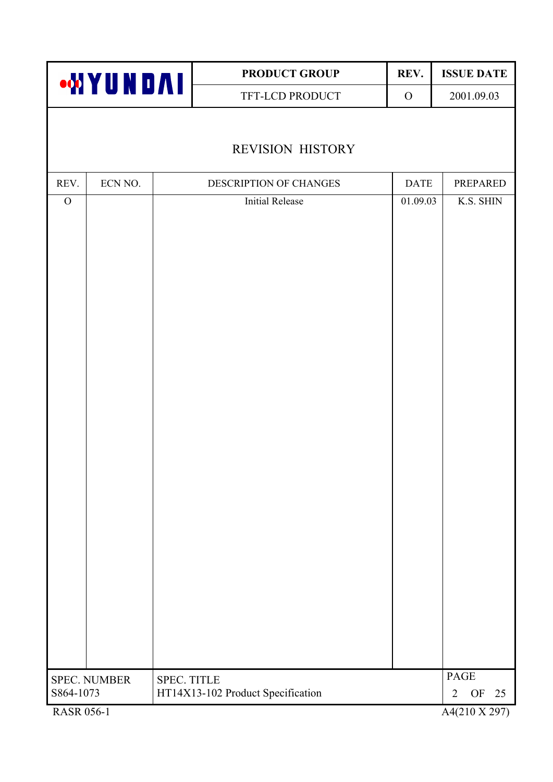|                   |                     |             | PRODUCT GROUP                     | REV.         | <b>ISSUE DATE</b>          |
|-------------------|---------------------|-------------|-----------------------------------|--------------|----------------------------|
|                   | <b>WYUNDAI</b>      |             | TFT-LCD PRODUCT                   | $\mathbf{O}$ | 2001.09.03                 |
|                   |                     |             |                                   |              |                            |
|                   |                     |             | <b>REVISION HISTORY</b>           |              |                            |
| REV.              | ECN NO.             |             | DESCRIPTION OF CHANGES            | <b>DATE</b>  | PREPARED                   |
| $\mathcal{O}$     |                     |             | <b>Initial Release</b>            | 01.09.03     | K.S. SHIN                  |
|                   |                     |             |                                   |              |                            |
|                   |                     |             |                                   |              |                            |
|                   |                     |             |                                   |              |                            |
|                   |                     |             |                                   |              |                            |
|                   |                     |             |                                   |              |                            |
|                   |                     |             |                                   |              |                            |
|                   |                     |             |                                   |              |                            |
|                   |                     |             |                                   |              |                            |
|                   |                     |             |                                   |              |                            |
|                   |                     |             |                                   |              |                            |
|                   |                     |             |                                   |              |                            |
|                   |                     |             |                                   |              |                            |
|                   |                     |             |                                   |              |                            |
|                   |                     |             |                                   |              |                            |
|                   |                     |             |                                   |              |                            |
|                   |                     |             |                                   |              |                            |
|                   |                     |             |                                   |              |                            |
|                   |                     |             |                                   |              |                            |
|                   |                     |             |                                   |              |                            |
|                   | <b>SPEC. NUMBER</b> | SPEC. TITLE |                                   |              | PAGE                       |
| S864-1073         |                     |             | HT14X13-102 Product Specification |              | OF<br>25<br>$\overline{2}$ |
| <b>RASR 056-1</b> |                     |             |                                   |              | A4(210 X 297)              |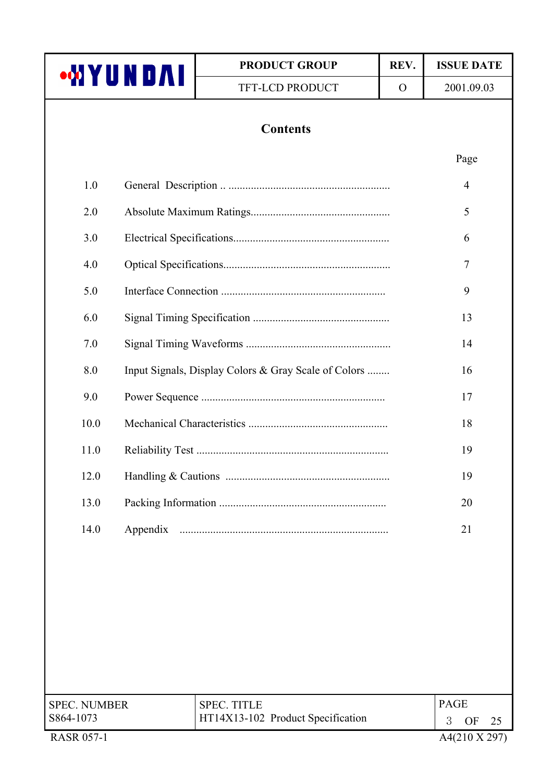| ∙₩YUND∧I                         | <b>PRODUCT GROUP</b>                                    | REV.     | <b>ISSUE DATE</b>                     |
|----------------------------------|---------------------------------------------------------|----------|---------------------------------------|
|                                  | TFT-LCD PRODUCT                                         | $\Omega$ | 2001.09.03                            |
|                                  | <b>Contents</b>                                         |          |                                       |
|                                  |                                                         |          | Page                                  |
| 1.0                              |                                                         |          | $\overline{4}$                        |
| 2.0                              |                                                         |          | 5                                     |
| 3.0                              |                                                         |          | 6                                     |
| 4.0                              |                                                         |          | 7                                     |
| 5.0                              |                                                         |          | 9                                     |
| 6.0                              |                                                         |          | 13                                    |
| 7.0                              |                                                         |          | 14                                    |
| 8.0                              | Input Signals, Display Colors & Gray Scale of Colors    |          | 16                                    |
| 9.0                              |                                                         |          | 17                                    |
| 10.0                             |                                                         |          | 18                                    |
| 11.0                             |                                                         |          | 19                                    |
| 12.0                             |                                                         |          | 19                                    |
| 13.0                             |                                                         |          | 20                                    |
| 14.0<br>Appendix                 |                                                         |          | 21                                    |
|                                  |                                                         |          |                                       |
|                                  |                                                         |          |                                       |
|                                  |                                                         |          |                                       |
|                                  |                                                         |          |                                       |
|                                  |                                                         |          |                                       |
|                                  |                                                         |          |                                       |
| <b>SPEC. NUMBER</b><br>S864-1073 | <b>SPEC. TITLE</b><br>HT14X13-102 Product Specification |          | <b>PAGE</b>                           |
| <b>RASR 057-1</b>                |                                                         |          | 3<br><b>OF</b><br>25<br>A4(210 X 297) |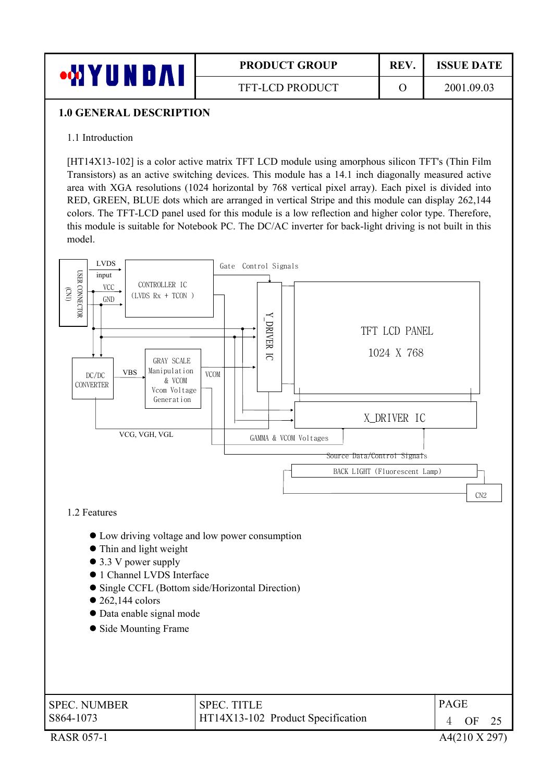

## **PRODUCT GROUP | REV. | ISSUE DATE**

#### **1.0 GENERAL DESCRIPTION**

#### 1.1 Introduction

[HT14X13-102] is a color active matrix TFT LCD module using amorphous silicon TFT's (Thin Film Transistors) as an active switching devices. This module has a 14.1 inch diagonally measured active area with XGA resolutions (1024 horizontal by 768 vertical pixel array). Each pixel is divided into RED, GREEN, BLUE dots which are arranged in vertical Stripe and this module can display 262,144 colors. The TFT-LCD panel used for this module is a low reflection and higher color type. Therefore, this module is suitable for Notebook PC. The DC/AC inverter for back-light driving is not built in this model.

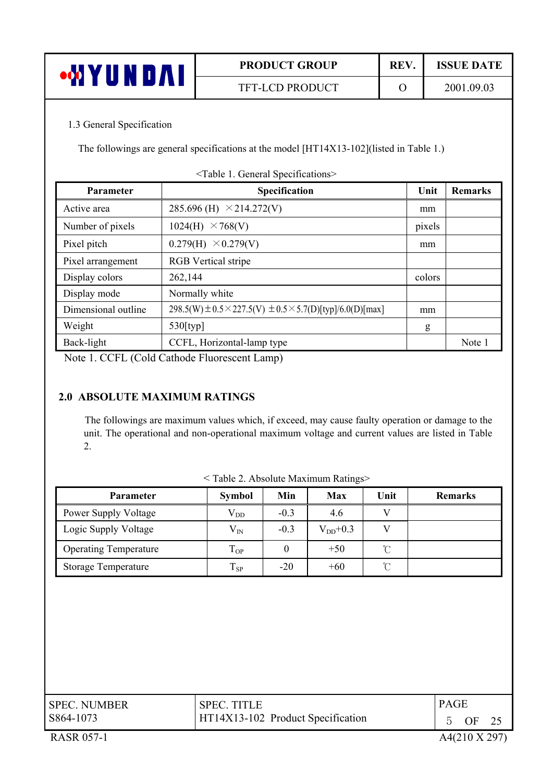|   | <b>PRODUCT GROUP</b>   | REV. | <b>ISSUE DATE</b> |
|---|------------------------|------|-------------------|
| ш | <b>TFT-LCD PRODUCT</b> |      | 2001.09.03        |

#### 1.3 General Specification

The followings are general specifications at the model [HT14X13-102](listed in Table 1.)

| <b>Parameter</b>    | Specification                                                                   | Unit   | <b>Remarks</b> |
|---------------------|---------------------------------------------------------------------------------|--------|----------------|
| Active area         | 285.696 (H) $\times$ 214.272(V)                                                 | mm     |                |
| Number of pixels    | $\times$ 768(V)<br>1024(H)                                                      | pixels |                |
| Pixel pitch         | 0.279(H)<br>$\times$ 0.279(V)                                                   | mm     |                |
| Pixel arrangement   | <b>RGB</b> Vertical stripe                                                      |        |                |
| Display colors      | 262,144                                                                         | colors |                |
| Display mode        | Normally white                                                                  |        |                |
| Dimensional outline | 298.5(W) $\pm$ 0.5 $\times$ 227.5(V) $\pm$ 0.5 $\times$ 5.7(D)[typ]/6.0(D)[max] | mm     |                |
| Weight              | 530[typ]                                                                        | g      |                |
| Back-light          | CCFL, Horizontal-lamp type                                                      |        | Note 1         |

<Table 1. General Specifications>

Note 1. CCFL (Cold Cathode Fluorescent Lamp)

#### **2.0 ABSOLUTE MAXIMUM RATINGS**

The followings are maximum values which, if exceed, may cause faulty operation or damage to the unit. The operational and non-operational maximum voltage and current values are listed in Table 2.

| <b>Parameter</b>             | <b>Symbol</b> | Min    | <b>Max</b>   | Unit          | <b>Remarks</b> |
|------------------------------|---------------|--------|--------------|---------------|----------------|
| Power Supply Voltage         | $\rm V_{DD}$  | $-0.3$ | 4.6          | v             |                |
| Logic Supply Voltage         | $\rm V_{IN}$  | $-0.3$ | $V_{DD}+0.3$ |               |                |
| <b>Operating Temperature</b> | $T_{OP}$      | 0      | $+50$        | $\mathcal{C}$ |                |
| <b>Storage Temperature</b>   | $T_{SP}$      | $-20$  | $+60$        | $\mathcal{C}$ |                |
|                              |               |        |              |               |                |

< Table 2. Absolute Maximum Ratings>

| <b>SPEC. NUMBER</b> | <b>SPEC. TITLE</b>                | <b>PAGE</b> |         |  |
|---------------------|-----------------------------------|-------------|---------|--|
| S864-1073           | HT14X13-102 Product Specification |             | 5 OF 25 |  |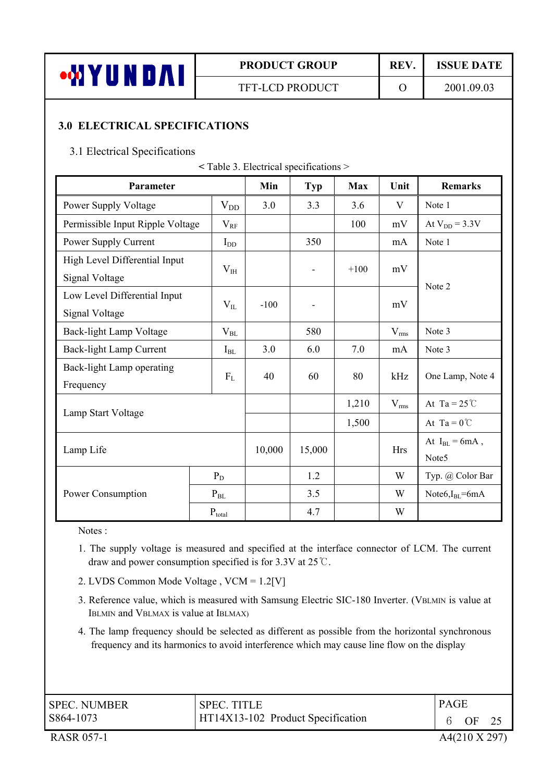

## **PRODUCT GROUP** REV. ISSUE DATE

TFT-LCD PRODUCT O 2001.09.03

#### **3.0 ELECTRICAL SPECIFICATIONS**

#### 3.1 Electrical Specifications

| Parameter                                       |                            | Min    | <b>Typ</b>               | <b>Max</b> | Unit       | <b>Remarks</b>                           |
|-------------------------------------------------|----------------------------|--------|--------------------------|------------|------------|------------------------------------------|
| Power Supply Voltage                            | $\rm V_{DD}$               | 3.0    | 3.3                      | 3.6        | V          | Note 1                                   |
| Permissible Input Ripple Voltage                | $V_{RF}$                   |        |                          | 100        | mV         | At $V_{DD} = 3.3V$                       |
| Power Supply Current                            | $I_{DD}$                   |        | 350                      |            | mA         | Note 1                                   |
| High Level Differential Input<br>Signal Voltage | $V_{IH}$                   |        | $\overline{\phantom{0}}$ | $+100$     | mV         | Note 2                                   |
| Low Level Differential Input<br>Signal Voltage  | $V_{IL}$                   | $-100$ | -                        |            | mV         |                                          |
| Back-light Lamp Voltage                         | $V_{BL}$                   |        | 580                      |            | $V_{rms}$  | Note 3                                   |
| Back-light Lamp Current                         | $I_{BL}$                   | 3.0    | 6.0                      | 7.0        | mA         | Note 3                                   |
| Back-light Lamp operating<br>Frequency          | $F_{L}$                    | 40     | 60                       | 80         | kHz        | One Lamp, Note 4                         |
|                                                 |                            |        |                          | 1,210      | $V_{rms}$  | At Ta = $25^{\circ}$ C                   |
| Lamp Start Voltage                              |                            |        |                          | 1,500      |            | At Ta = $0^{\circ}$ C                    |
| Lamp Life                                       |                            | 10,000 | 15,000                   |            | <b>Hrs</b> | At $I_{BL} = 6mA$ ,<br>Note <sub>5</sub> |
|                                                 | $P_D$                      |        | 1.2                      |            | W          | Typ. @ Color Bar                         |
| Power Consumption                               | $\mathbf{P}_{\mathrm{BL}}$ |        | 3.5                      |            | W          | Note $I_{BL}$ = 6mA                      |
|                                                 | $P_{total}$                |        | 4.7                      |            | W          |                                          |

Notes :

- 1. The supply voltage is measured and specified at the interface connector of LCM. The current draw and power consumption specified is for 3.3V at  $25^{\circ}$ C.
- 2. LVDS Common Mode Voltage , VCM = 1.2[V]
- 3. Reference value, which is measured with Samsung Electric SIC-180 Inverter. (VBLMIN is value at IBLMIN and VBLMAX is value at IBLMAX)
- 4. The lamp frequency should be selected as different as possible from the horizontal synchronous frequency and its harmonics to avoid interference which may cause line flow on the display

| <b>SPEC. NUMBER</b> | <b>SPEC. TITLE</b>                | <b>PAGE</b> |  |
|---------------------|-----------------------------------|-------------|--|
| S864-1073           | HT14X13-102 Product Specification | OF          |  |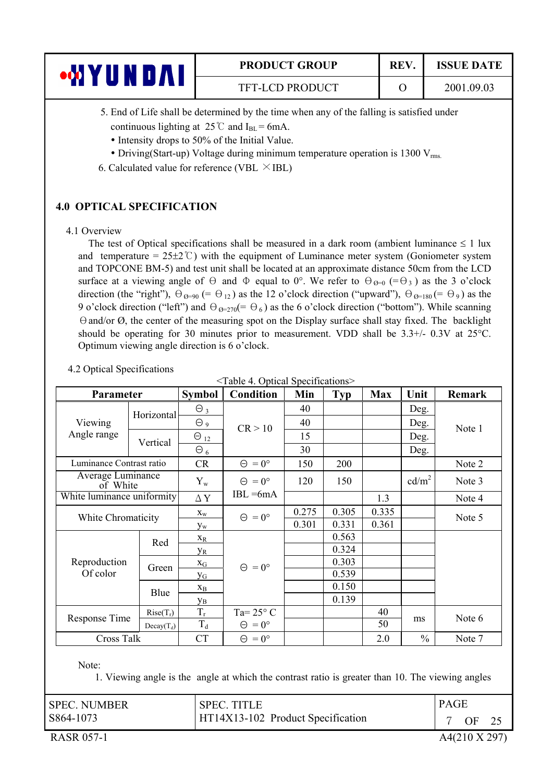| UNDAI | <b>PRODUCT GROUP</b>   | <b>REV</b> | <b>ISSUE DATE</b> |
|-------|------------------------|------------|-------------------|
|       | <b>TFT-LCD PRODUCT</b> |            | 2001.09.03        |

5. End of Life shall be determined by the time when any of the falling is satisfied under continuous lighting at  $25^{\circ}$  and I<sub>BL</sub> = 6mA.

- 
- Intensity drops to 50% of the Initial Value.
- Driving(Start-up) Voltage during minimum temperature operation is 1300  $V_{rms}$ .
- 6. Calculated value for reference (VBL  $\times$  IBL)

#### **4.0 OPTICAL SPECIFICATION**

#### 4.1 Overview

The test of Optical specifications shall be measured in a dark room (ambient luminance  $\leq 1$  lux and temperature =  $25\pm2$ °C) with the equipment of Luminance meter system (Goniometer system and TOPCONE BM-5) and test unit shall be located at an approximate distance 50cm from the LCD surface at a viewing angle of  $\Theta$  and  $\Phi$  equal to 0°. We refer to  $\Theta_{\emptyset=0}$  (= $\Theta_3$ ) as the 3 o'clock direction (the "right"),  $\Theta_{\theta=90}$  (=  $\Theta_{12}$ ) as the 12 o'clock direction ("upward"),  $\Theta_{\theta=180}$  (=  $\Theta_{9}$ ) as the 9 o'clock direction ("left") and  $\Theta_{\mathcal{O}=270}(=\Theta_6)$  as the 6 o'clock direction ("bottom"). While scanning  $\Theta$  and/or  $\emptyset$ , the center of the measuring spot on the Display surface shall stay fixed. The backlight should be operating for 30 minutes prior to measurement. VDD shall be  $3.3+/$ -  $0.3V$  at  $25^{\circ}$ C. Optimum viewing angle direction is 6 o'clock.

<Table 4. Optical Specifications>

| Parameter                     |                    | <b>Symbol</b>         | <b>Condition</b>          | Min   | <b>Typ</b> | <b>Max</b> | Unit              | Remark |
|-------------------------------|--------------------|-----------------------|---------------------------|-------|------------|------------|-------------------|--------|
|                               | Horizontal         | $\Theta_3$            |                           | 40    |            |            | Deg.              |        |
| Viewing                       |                    | $\Theta$ 9            | CR > 10                   | 40    |            |            | Deg.              | Note 1 |
| Angle range                   | Vertical           | $\Theta_{12}$         |                           | 15    |            |            | Deg.              |        |
|                               |                    | $\Theta_6$            |                           | 30    |            |            | Deg.              |        |
| Luminance Contrast ratio      |                    | <b>CR</b>             | $\Theta = 0^{\circ}$      | 150   | 200        |            |                   | Note 2 |
| Average Luminance<br>of White |                    | $Y_{w}$               | $\Theta$<br>$= 0^{\circ}$ | 120   | 150        |            | cd/m <sup>2</sup> | Note 3 |
| White luminance uniformity    |                    | $\Delta$ Y            | $IBL = 6mA$               |       |            | 1.3        |                   | Note 4 |
|                               | White Chromaticity |                       | $\Theta = 0^{\circ}$      | 0.275 | 0.305      | 0.335      |                   | Note 5 |
|                               |                    |                       |                           | 0.301 | 0.331      | 0.361      |                   |        |
|                               | Red                | $X_R$                 |                           |       | 0.563      |            |                   |        |
|                               |                    | <b>y</b> <sub>R</sub> |                           |       | 0.324      |            |                   |        |
| Reproduction                  | Green              | $X_G$                 | $\Theta = 0^{\circ}$      |       | 0.303      |            |                   |        |
| Of color                      |                    | УG                    |                           |       | 0.539      |            |                   |        |
|                               | Blue               | $X_{B}$               |                           |       | 0.150      |            |                   |        |
|                               |                    | Ув                    |                           |       | 0.139      |            |                   |        |
|                               | $Rise(T_r)$        | $T_r$                 | Ta= $25^{\circ}$ C        |       |            | 40         |                   |        |
| Response Time                 | $Decay(T_d)$       | $T_d$                 | $\Theta = 0^{\circ}$      |       |            | 50         | ms                | Note 6 |
| Cross Talk                    |                    | <b>CT</b>             | $\Theta = 0^{\circ}$      |       |            | 2.0        | $\frac{0}{0}$     | Note 7 |
| Note:                         |                    |                       |                           |       |            |            |                   |        |

4.2 Optical Specifications

1. Viewing angle is the angle at which the contrast ratio is greater than 10. The viewing angles

| <b>SPEC. NUMBER</b> | <b>SPEC. TITLE</b>                | <b>PAGE</b> |
|---------------------|-----------------------------------|-------------|
| S864-1073           | HT14X13-102 Product Specification | OF          |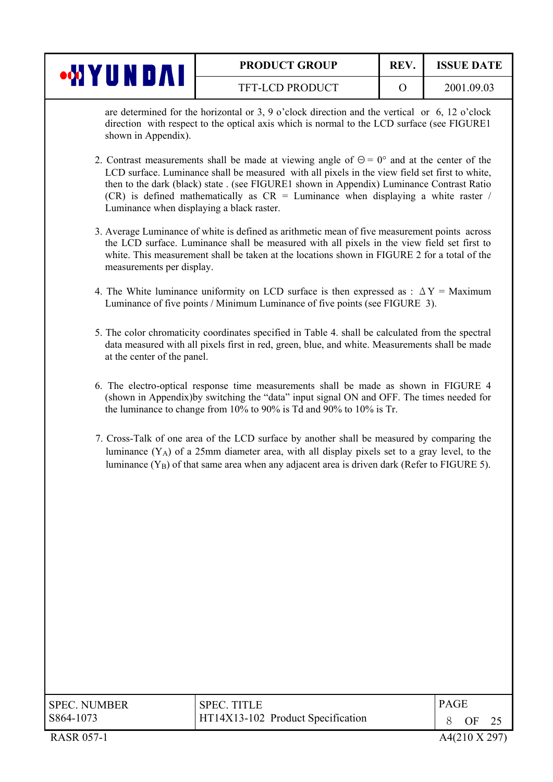|                          | <b>PRODUCT GROUP</b>   | <b>REV.</b> | <b>ISSUE DATE</b> |
|--------------------------|------------------------|-------------|-------------------|
| WA<br>л.<br><b>TABLE</b> | <b>TFT-LCD PRODUCT</b> |             | 2001.09.03        |

are determined for the horizontal or 3, 9 o'clock direction and the vertical or 6, 12 o'clock direction with respect to the optical axis which is normal to the LCD surface (see FIGURE1 shown in Appendix).

- 2. Contrast measurements shall be made at viewing angle of  $\Theta = 0^{\circ}$  and at the center of the LCD surface. Luminance shall be measured with all pixels in the view field set first to white, then to the dark (black) state . (see FIGURE1 shown in Appendix) Luminance Contrast Ratio  $(CR)$  is defined mathematically as  $CR =$  Luminance when displaying a white raster / Luminance when displaying a black raster.
- 3. Average Luminance of white is defined as arithmetic mean of five measurement points across the LCD surface. Luminance shall be measured with all pixels in the view field set first to white. This measurement shall be taken at the locations shown in FIGURE 2 for a total of the measurements per display.
- 4. The White luminance uniformity on LCD surface is then expressed as :  $\Delta Y =$  Maximum Luminance of five points / Minimum Luminance of five points (see FIGURE 3).
- 5. The color chromaticity coordinates specified in Table 4. shall be calculated from the spectral data measured with all pixels first in red, green, blue, and white. Measurements shall be made at the center of the panel.
- 6. The electro-optical response time measurements shall be made as shown in FIGURE 4 (shown in Appendix)by switching the "data" input signal ON and OFF. The times needed for the luminance to change from 10% to 90% is Td and 90% to 10% is Tr.
- 7. Cross-Talk of one area of the LCD surface by another shall be measured by comparing the luminance  $(Y_A)$  of a 25mm diameter area, with all display pixels set to a gray level, to the luminance  $(Y_B)$  of that same area when any adjacent area is driven dark (Refer to FIGURE 5).

| <b>SPEC. NUMBER</b> | <b>SPEC. TITLE</b>                | <b>PAGE</b> |               |  |
|---------------------|-----------------------------------|-------------|---------------|--|
| S864-1073           | HT14X13-102 Product Specification |             | OF.           |  |
| <b>RASR 057-1</b>   |                                   |             | A4(210 X 297) |  |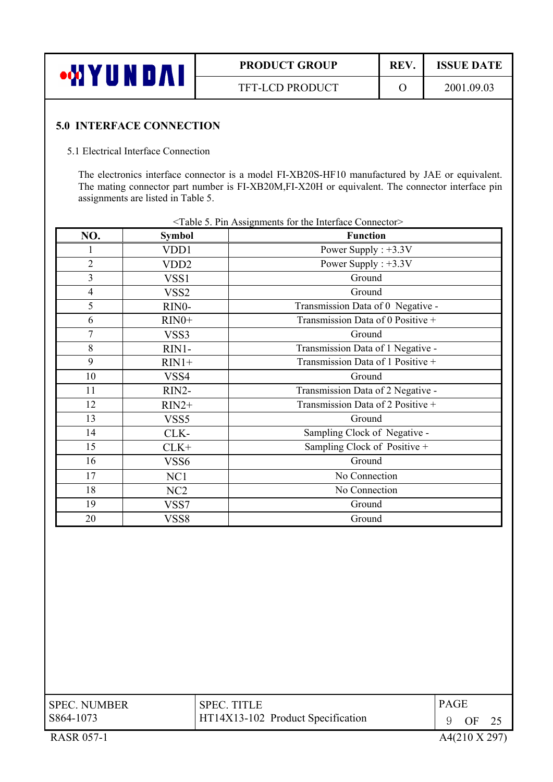| <b>AH</b> *<br>U N I | <b>PRODUCT GROUP</b>   | <b>REV</b> | <b>ISSUE DATE</b> |
|----------------------|------------------------|------------|-------------------|
|                      | <b>TFT-LCD PRODUCT</b> |            | 2001.09.03        |

#### **5.0 INTERFACE CONNECTION**

#### 5.1 Electrical Interface Connection

The electronics interface connector is a model FI-XB20S-HF10 manufactured by JAE or equivalent. The mating connector part number is FI-XB20M,FI-X20H or equivalent. The connector interface pin assignments are listed in Table 5.

| NO.                     | <b>Symbol</b>    | $>$ ratio 5. Fin Assignments for the interact connector-<br><b>Function</b> |
|-------------------------|------------------|-----------------------------------------------------------------------------|
|                         |                  |                                                                             |
|                         | VDD1             | Power Supply : $+3.3V$                                                      |
| $\overline{2}$          | VDD <sub>2</sub> | Power Supply : $+3.3V$                                                      |
| $\overline{\mathbf{3}}$ | VSS <sub>1</sub> | Ground                                                                      |
| $\overline{4}$          | VSS <sub>2</sub> | Ground                                                                      |
| 5                       | RINO-            | Transmission Data of 0 Negative -                                           |
| 6                       | $RIN0+$          | Transmission Data of 0 Positive +                                           |
| 7                       | VSS3             | Ground                                                                      |
| 8                       | RIN1-            | Transmission Data of 1 Negative -                                           |
| 9                       | $RIN1+$          | Transmission Data of 1 Positive +                                           |
| 10                      | VSS4             | Ground                                                                      |
| 11                      | $RIN2-$          | Transmission Data of 2 Negative -                                           |
| 12                      | $RIN2+$          | Transmission Data of 2 Positive +                                           |
| 13                      | VSS <sub>5</sub> | Ground                                                                      |
| 14                      | CLK-             | Sampling Clock of Negative -                                                |
| 15                      | $CLK+$           | Sampling Clock of Positive +                                                |
| 16                      | VSS6             | Ground                                                                      |
| 17                      | NC1              | No Connection                                                               |
| 18                      | NC <sub>2</sub>  | No Connection                                                               |
| 19                      | VSS7             | Ground                                                                      |
| 20                      | VSS8             | Ground                                                                      |

|  | <table 5.="" assignments="" connector="" for="" interface="" pin="" the=""></table> |  |  |
|--|-------------------------------------------------------------------------------------|--|--|
|  |                                                                                     |  |  |

| <b>SPEC. NUMBER</b> | <b>SPEC. TITLE</b>                | <b>PAGE</b>              |     |      |
|---------------------|-----------------------------------|--------------------------|-----|------|
| S864-1073           | HT14X13-102 Product Specification |                          | OF. | - 25 |
| <b>RASR 057-1</b>   |                                   | $A4(210 \text{ X } 297)$ |     |      |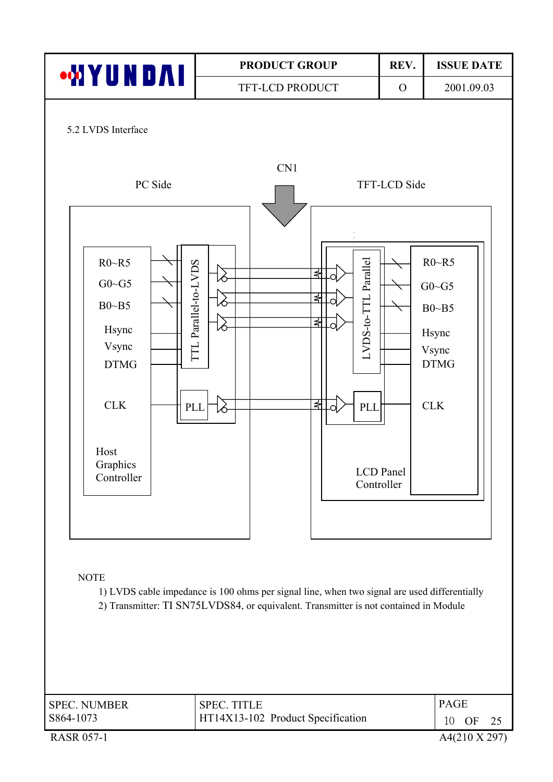

| <b>SPEC. NUMBER</b><br>S864-1073 | <b>SPEC. TITLE</b><br>HT14X13-102 Product Specification | <b>PAGE</b><br>1 $\cap$ | - OF |                          |
|----------------------------------|---------------------------------------------------------|-------------------------|------|--------------------------|
| <b>RASR 057-1</b>                |                                                         |                         |      | $A4(210 \text{ X } 297)$ |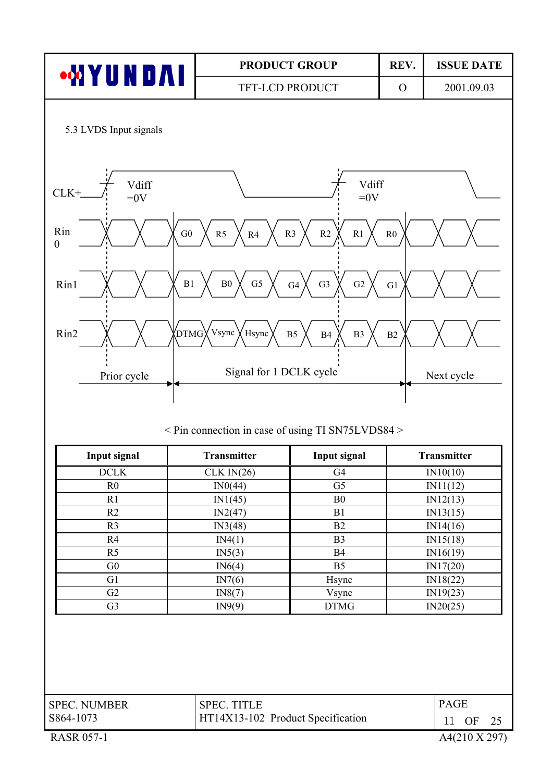

< Pin connection in case of using TI SN75LVDS84 >

| Input signal   | <b>Transmitter</b> | Input signal   | <b>Transmitter</b> |
|----------------|--------------------|----------------|--------------------|
| <b>DCLK</b>    | CLK IN(26)         | G <sub>4</sub> | IN10(10)           |
| R <sub>0</sub> | IN0(44)            | G <sub>5</sub> | IN11(12)           |
| R1             | IN1(45)            | B <sub>0</sub> | IN12(13)           |
| R <sub>2</sub> | IN2(47)            | B1             | IN13(15)           |
| R <sub>3</sub> | IN3(48)            | B <sub>2</sub> | IN14(16)           |
| R <sub>4</sub> | IN4(1)             | B <sub>3</sub> | IN15(18)           |
| R <sub>5</sub> | IN5(3)             | <b>B4</b>      | IN16(19)           |
| G <sub>0</sub> | IN6(4)             | B <sub>5</sub> | IN17(20)           |
| G <sub>1</sub> | IN7(6)             | Hsync          | IN18(22)           |
| G2             | IN8(7)             | Vsync          | IN19(23)           |
| G <sub>3</sub> | IN9(9)             | <b>DTMG</b>    | IN20(25)           |

| <b>SPEC. NUMBER</b> | <b>SPEC. TITLE</b>                | <b>PAGE</b> |
|---------------------|-----------------------------------|-------------|
| S864-1073           | HT14X13-102 Product Specification | OF          |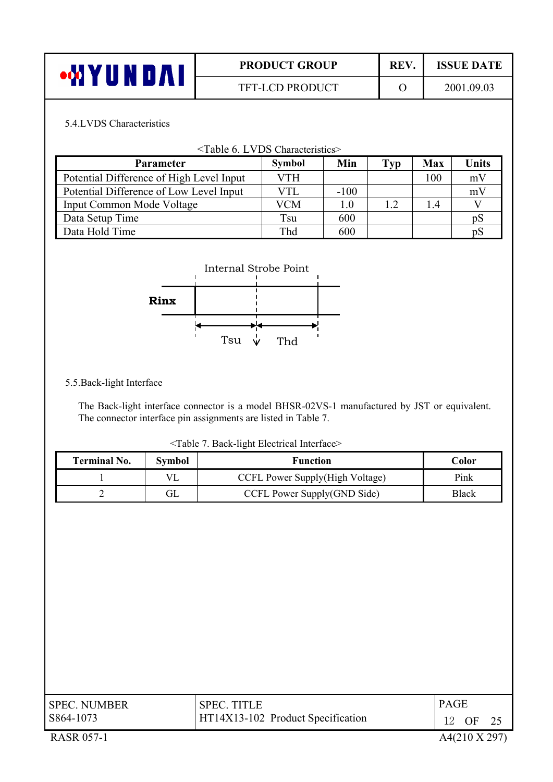| ┶ | <b>PRODUCT GROUP</b> | <b>REV</b> | <b>ISSUE DATE</b> |
|---|----------------------|------------|-------------------|
|   | TFT-LCD PRODUCT      |            | 2001.09.03        |

#### 5.4.LVDS Characteristics

| <table 6.="" characteristics="" lvds=""></table> |               |        |     |            |       |  |
|--------------------------------------------------|---------------|--------|-----|------------|-------|--|
| <b>Parameter</b>                                 | <b>Symbol</b> | Min    | Typ | <b>Max</b> | Units |  |
| Potential Difference of High Level Input         | <b>VTH</b>    |        |     | 100        | mV    |  |
| Potential Difference of Low Level Input          | VTL           | $-100$ |     |            | mV    |  |
| <b>Input Common Mode Voltage</b>                 | VCM           | 1.0    | 1.2 | 14         |       |  |
| Data Setup Time                                  | Tsu           | 600    |     |            | pS    |  |
| Data Hold Time                                   | Thd           | 600    |     |            | ηS    |  |



#### 5.5.Back-light Interface

I

The Back-light interface connector is a model BHSR-02VS-1 manufactured by JST or equivalent. The connector interface pin assignments are listed in Table 7.

<Table 7. Back-light Electrical Interface>

| <b>Terminal No.</b> | Symbol | <b>Function</b>                 | Color        |
|---------------------|--------|---------------------------------|--------------|
|                     |        | CCFL Power Supply(High Voltage) | Pink         |
|                     | ЭL     | CCFL Power Supply(GND Side)     | <b>Black</b> |

| <b>SPEC. NUMBER</b> | <b>SPEC. TITLE</b>                | <b>PAGE</b> |
|---------------------|-----------------------------------|-------------|
| S864-1073           | HT14X13-102 Product Specification | 12<br>OF    |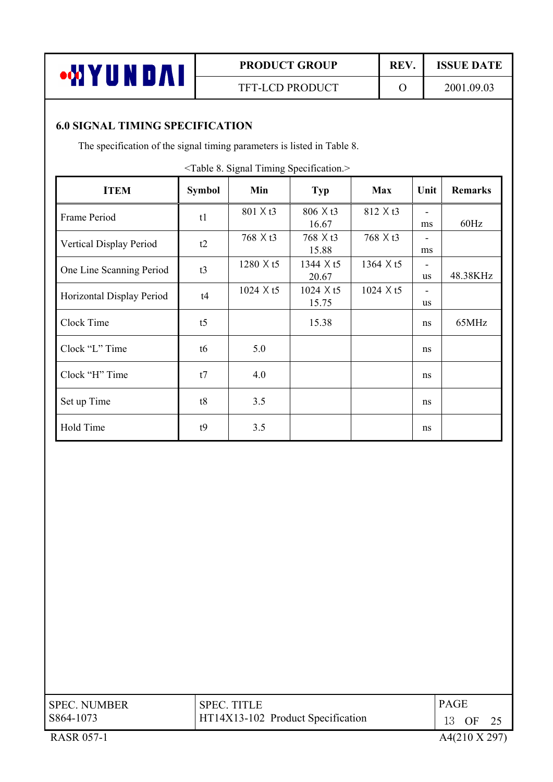

# **PRODUCT GROUP REV. ISSUE DATE**

TFT-LCD PRODUCT 0 2001.09.03

### **6.0 SIGNAL TIMING SPECIFICATION**

The specification of the signal timing parameters is listed in Table 8.

<Table 8. Signal Timing Specification.>

| <b>ITEM</b>               | <b>Symbol</b>  | Min              | <b>Typ</b>                | <b>Max</b>       | Unit           | <b>Remarks</b> |
|---------------------------|----------------|------------------|---------------------------|------------------|----------------|----------------|
| Frame Period              | t1             | 801 X t3         | $806 \times t3$<br>16.67  | 812 X t3         | ۰<br>ms        | 60Hz           |
| Vertical Display Period   | t2             | 768 X t3         | 768 X t3<br>15.88         | 768 X t3         | ms             |                |
| One Line Scanning Period  | t3             | 1280 X t5        | 1344 X t5<br>20.67        | 1364 $\times$ t5 | <b>us</b>      | 48.38KHz       |
| Horizontal Display Period | t4             | $1024 \times t5$ | $1024 \times t5$<br>15.75 | $1024 \times t5$ | ۰<br><b>us</b> |                |
| Clock Time                | t <sub>5</sub> |                  | 15.38                     |                  | ns             | 65MHz          |
| Clock "L" Time            | t6             | 5.0              |                           |                  | ns             |                |
| Clock "H" Time            | t7             | 4.0              |                           |                  | ns             |                |
| Set up Time               | t8             | 3.5              |                           |                  | ns             |                |
| Hold Time                 | t9             | 3.5              |                           |                  | ns             |                |

| <b>SPEC. NUMBER</b> | <b>SPEC. TITLE</b>                | <b>PAGE</b> |
|---------------------|-----------------------------------|-------------|
| S864-1073           | HT14X13-102 Product Specification | 13 OF       |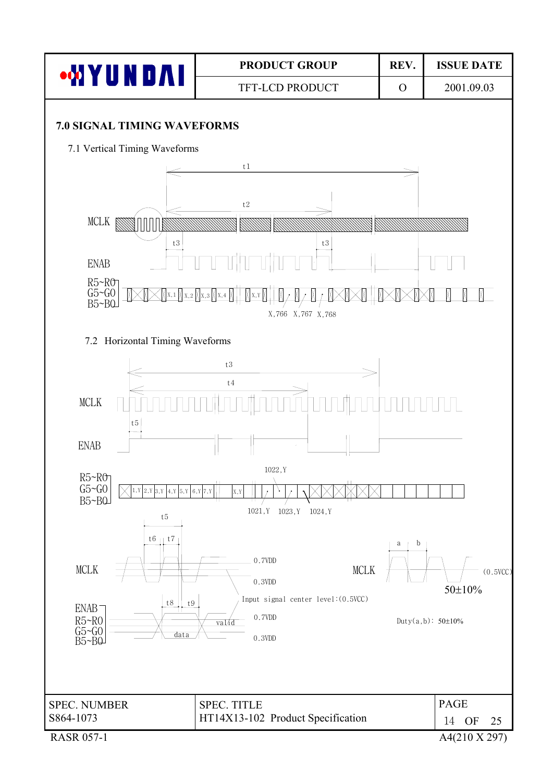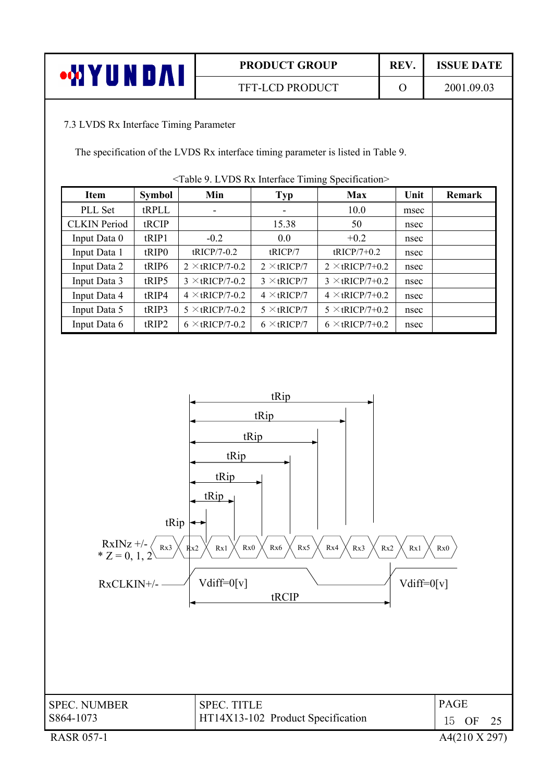|             | <b>PRODUCT GROUP</b>   | REV. | <b>ISSUE DATE</b> |
|-------------|------------------------|------|-------------------|
| u n r<br>л. | <b>TFT-LCD PRODUCT</b> |      | 2001.09.03        |
|             |                        |      |                   |

### 7.3 LVDS Rx Interface Timing Parameter

The specification of the LVDS Rx interface timing parameter is listed in Table 9.

| Item                | <b>Symbol</b>     | Min                    | <b>Typ</b>         | <b>Max</b>             | Unit | <b>Remark</b> |
|---------------------|-------------------|------------------------|--------------------|------------------------|------|---------------|
| PLL Set             | tRPLL             | ٠                      | ۰                  | 10.0                   | msec |               |
| <b>CLKIN</b> Period | tRCIP             |                        | 15.38              | 50                     | nsec |               |
| Input Data 0        | tRIP1             | $-0.2$                 | 0.0                | $+0.2$                 | nsec |               |
| Input Data 1        | tRIP <sub>0</sub> | $tRICP/7-0.2$          | tRICP/7            | $tRICP/7+0.2$          | nsec |               |
| Input Data 2        | tRIP6             | $2 \times$ tRICP/7-0.2 | $2 \times tRICP/7$ | $2 \times tRICP/7+0.2$ | nsec |               |
| Input Data 3        | tRIP5             | $3 \times tRICP/7-0.2$ | $3 \times tRICP/7$ | $3 \times tRICP/7+0.2$ | nsec |               |
| Input Data 4        | tRIP4             | $4 \times$ tRICP/7-0.2 | $4 \times$ tRICP/7 | $4 \times tRICP/7+0.2$ | nsec |               |
| Input Data 5        | tRIP3             | $5 \times$ tRICP/7-0.2 | $5 \times tRICP/7$ | $5 \times$ tRICP/7+0.2 | nsec |               |
| Input Data 6        | tRIP2             | $6 \times$ tRICP/7-0.2 | $6 \times tRICP/7$ | $6 \times$ tRICP/7+0.2 | nsec |               |

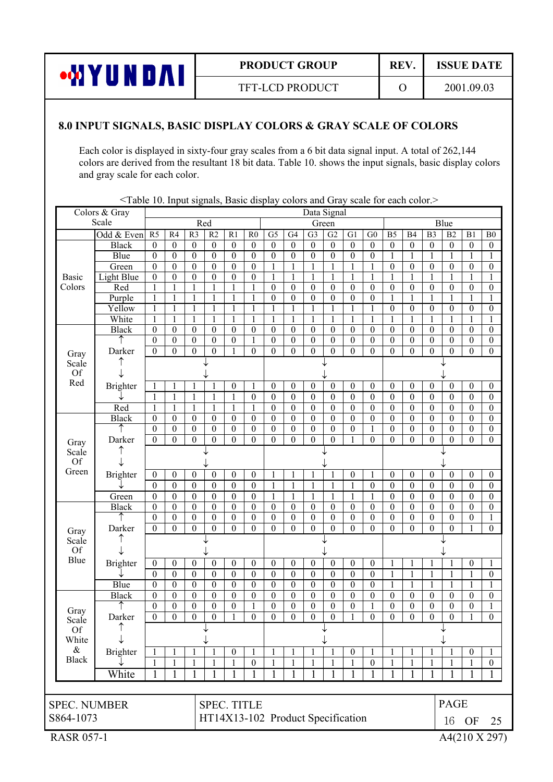

TFT-LCD PRODUCT 0 2001.09.03

#### **8.0 INPUT SIGNALS, BASIC DISPLAY COLORS & GRAY SCALE OF COLORS**

Each color is displayed in sixty-four gray scales from a 6 bit data signal input. A total of 262,144 colors are derived from the resultant 18 bit data. Table 10. shows the input signals, basic display colors and gray scale for each color.

|                     | Colors & Gray         |                                      |                                      |                                      |                                      |                                      |                                      |                                      |                              |                                      | Data Signal                          |                       |                                      |                                  |                                    |                                      |                                      |                                      |                                      |
|---------------------|-----------------------|--------------------------------------|--------------------------------------|--------------------------------------|--------------------------------------|--------------------------------------|--------------------------------------|--------------------------------------|------------------------------|--------------------------------------|--------------------------------------|-----------------------|--------------------------------------|----------------------------------|------------------------------------|--------------------------------------|--------------------------------------|--------------------------------------|--------------------------------------|
|                     | Scale                 |                                      |                                      | Red                                  |                                      |                                      |                                      |                                      |                              |                                      | Green                                |                       |                                      |                                  |                                    |                                      | Blue                                 |                                      |                                      |
|                     | Odd $&$ Even          | R <sub>5</sub>                       | R <sub>4</sub>                       | R <sub>3</sub>                       | R <sub>2</sub>                       | $\overline{R1}$                      | R <sub>0</sub>                       | $\overline{G5}$                      | G <sub>4</sub>               | $\overline{G}$                       | G2                                   | $\overline{G}$        | $\overline{G0}$                      | B <sub>5</sub>                   | <b>B4</b>                          | B <sub>3</sub>                       | $\overline{B2}$                      | B1                                   | B <sub>0</sub>                       |
|                     | <b>Black</b>          | $\boldsymbol{0}$                     | $\boldsymbol{0}$                     | $\boldsymbol{0}$                     | $\boldsymbol{0}$                     | $\boldsymbol{0}$                     | $\boldsymbol{0}$                     | $\boldsymbol{0}$                     | $\boldsymbol{0}$             | $\boldsymbol{0}$                     | $\boldsymbol{0}$                     | $\boldsymbol{0}$      | $\boldsymbol{0}$                     | $\boldsymbol{0}$                 | $\boldsymbol{0}$                   | $\boldsymbol{0}$                     | $\boldsymbol{0}$                     | $\boldsymbol{0}$                     | $\boldsymbol{0}$                     |
|                     | Blue                  | $\boldsymbol{0}$                     | $\boldsymbol{0}$                     | $\boldsymbol{0}$                     | $\boldsymbol{0}$                     | $\boldsymbol{0}$                     | $\boldsymbol{0}$                     | $\boldsymbol{0}$                     | $\mathbf{0}$                 | $\boldsymbol{0}$                     | $\boldsymbol{0}$                     | $\theta$              | $\boldsymbol{0}$                     | 1                                | 1                                  | 1                                    | 1                                    | $\mathbf{1}$                         | 1                                    |
|                     | Green                 | $\boldsymbol{0}$                     | $\boldsymbol{0}$                     | $\theta$                             | $\boldsymbol{0}$                     | $\boldsymbol{0}$                     | $\theta$                             | 1                                    | 1                            | 1                                    | 1                                    | 1                     | 1                                    | $\theta$                         | $\boldsymbol{0}$                   | $\theta$                             | $\theta$                             | $\theta$                             | $\boldsymbol{0}$                     |
| <b>Basic</b>        | Light Blue            | $\boldsymbol{0}$                     | $\theta$                             | $\theta$                             | $\theta$                             | $\theta$                             | $\theta$                             | $\mathbf{1}$                         |                              |                                      | 1                                    | 1                     |                                      |                                  |                                    | 1                                    |                                      |                                      | 1                                    |
| Colors              | Red                   | 1                                    | 1                                    |                                      |                                      |                                      | 1                                    | $\boldsymbol{0}$                     | $\theta$                     | $\boldsymbol{0}$                     | $\boldsymbol{0}$                     | $\theta$              | $\boldsymbol{0}$                     | $\boldsymbol{0}$                 | $\boldsymbol{0}$                   | $\boldsymbol{0}$                     | $\boldsymbol{0}$                     | $\boldsymbol{0}$                     | $\boldsymbol{0}$                     |
|                     | Purple                |                                      | 1                                    |                                      |                                      |                                      |                                      | $\boldsymbol{0}$                     | $\mathbf{0}$                 | $\mathbf{0}$                         | $\boldsymbol{0}$                     | $\theta$              | $\boldsymbol{0}$                     |                                  |                                    | 1                                    |                                      | $\mathbf{1}$                         | 1                                    |
|                     | Yellow                | 1                                    | $\mathbf{1}$                         | 1                                    | $\mathbf{1}$                         |                                      | $\mathbf{1}$                         | $\mathbf{1}$                         | 1                            |                                      | 1                                    | 1                     | $\mathbf{1}$                         | $\boldsymbol{0}$                 | $\boldsymbol{0}$                   | $\boldsymbol{0}$                     | $\overline{0}$                       | $\boldsymbol{0}$                     | $\boldsymbol{0}$                     |
|                     | White                 | 1                                    | $\mathbf{1}$                         | $\mathbf{1}$                         | $\mathbf{1}$                         | $\mathbf{1}$                         | $\mathbf{1}$                         | $\mathbf{1}$                         | $\mathbf{1}$                 | 1                                    | $\mathbf{1}$                         | $\mathbf{1}$          | 1                                    | $\mathbf{1}$                     | 1                                  | $\mathbf{1}$                         | $\mathbf{1}$                         | $\mathbf{1}$                         | $\mathbf{1}$                         |
|                     | <b>Black</b>          | $\boldsymbol{0}$                     | $\boldsymbol{0}$                     | $\boldsymbol{0}$                     | $\boldsymbol{0}$                     | $\boldsymbol{0}$                     | $\boldsymbol{0}$                     | $\boldsymbol{0}$                     | $\boldsymbol{0}$             | $\boldsymbol{0}$                     | $\boldsymbol{0}$                     | $\boldsymbol{0}$      | $\boldsymbol{0}$                     | $\mathbf{0}$                     | $\overline{0}$                     | $\boldsymbol{0}$                     | $\boldsymbol{0}$                     | $\boldsymbol{0}$                     | $\overline{0}$                       |
|                     |                       | $\boldsymbol{0}$                     | $\boldsymbol{0}$                     | $\boldsymbol{0}$                     | $\boldsymbol{0}$                     | $\boldsymbol{0}$                     | $\mathbf{1}$                         | $\boldsymbol{0}$                     | $\boldsymbol{0}$             | $\boldsymbol{0}$                     | $\boldsymbol{0}$                     | $\boldsymbol{0}$      | $\boldsymbol{0}$                     | $\boldsymbol{0}$                 | $\boldsymbol{0}$                   | $\boldsymbol{0}$                     | $\boldsymbol{0}$                     | $\boldsymbol{0}$                     | $\boldsymbol{0}$                     |
| Gray                | Darker                | $\theta$                             | $\mathbf{0}$                         | $\theta$                             | $\mathbf{0}$                         |                                      | $\mathbf{0}$                         | $\boldsymbol{0}$                     | $\mathbf{0}$                 | $\theta$                             | $\theta$                             | $\theta$              | $\boldsymbol{0}$                     | $\mathbf{0}$                     | $\mathbf{0}$                       | $\mathbf{0}$                         | $\theta$                             | $\mathbf{0}$                         | $\boldsymbol{0}$                     |
| Scale               |                       |                                      |                                      |                                      |                                      |                                      |                                      |                                      |                              |                                      |                                      |                       |                                      |                                  |                                    |                                      |                                      |                                      |                                      |
| <b>Of</b><br>Red    |                       |                                      |                                      |                                      |                                      |                                      |                                      |                                      |                              |                                      |                                      |                       |                                      |                                  |                                    |                                      |                                      |                                      |                                      |
|                     | <b>Brighter</b>       |                                      | $\mathbf{1}$                         |                                      |                                      | $\boldsymbol{0}$                     | $\mathbf{1}$                         | $\boldsymbol{0}$                     | $\boldsymbol{0}$             | $\boldsymbol{0}$                     | $\boldsymbol{0}$                     | $\boldsymbol{0}$      | $\boldsymbol{0}$                     | $\mathbf{0}$                     | $\boldsymbol{0}$                   | $\theta$                             | $\boldsymbol{0}$                     | $\boldsymbol{0}$                     | $\boldsymbol{0}$                     |
|                     |                       | 1                                    | $\mathbf{1}$                         | $\mathbf{1}$                         | $\mathbf{1}$                         | 1                                    | $\theta$                             | $\boldsymbol{0}$                     | $\theta$                     | $\mathbf{0}$                         | $\boldsymbol{0}$                     | $\theta$              | $\boldsymbol{0}$                     | $\mathbf{0}$                     | $\mathbf{0}$                       | $\theta$                             | $\theta$                             | $\mathbf{0}$                         | $\boldsymbol{0}$                     |
|                     | Red                   | 1                                    | $\mathbf{1}$                         | $\mathbf{1}$                         | $\mathbf{1}$                         |                                      | 1                                    | $\boldsymbol{0}$                     | $\boldsymbol{0}$             | $\boldsymbol{0}$                     | $\boldsymbol{0}$                     | $\boldsymbol{0}$      | $\boldsymbol{0}$                     | $\boldsymbol{0}$                 | $\boldsymbol{0}$                   | $\boldsymbol{0}$                     | $\boldsymbol{0}$                     | $\boldsymbol{0}$                     | $\boldsymbol{0}$                     |
|                     | <b>Black</b>          | $\boldsymbol{0}$                     | $\boldsymbol{0}$                     | $\boldsymbol{0}$                     | $\boldsymbol{0}$                     | $\boldsymbol{0}$                     | $\boldsymbol{0}$                     | $\boldsymbol{0}$                     | $\boldsymbol{0}$             | $\boldsymbol{0}$                     | $\boldsymbol{0}$                     | $\boldsymbol{0}$      | $\boldsymbol{0}$                     | $\boldsymbol{0}$                 | $\overline{0}$                     | $\boldsymbol{0}$                     | $\boldsymbol{0}$                     | $\boldsymbol{0}$                     | $\boldsymbol{0}$                     |
|                     |                       | $\overline{0}$<br>$\mathbf{0}$       | $\boldsymbol{0}$<br>$\mathbf{0}$     | $\boldsymbol{0}$<br>$\theta$         | $\boldsymbol{0}$<br>$\mathbf{0}$     | $\boldsymbol{0}$<br>$\overline{0}$   | $\boldsymbol{0}$<br>$\mathbf{0}$     | $\boldsymbol{0}$<br>$\boldsymbol{0}$ | $\boldsymbol{0}$<br>$\theta$ | $\boldsymbol{0}$<br>$\theta$         | $\boldsymbol{0}$<br>$\theta$         | $\boldsymbol{0}$<br>1 | 1<br>$\theta$                        | $\boldsymbol{0}$<br>$\mathbf{0}$ | $\boldsymbol{0}$<br>$\mathbf{0}$   | $\boldsymbol{0}$<br>$\boldsymbol{0}$ | $\boldsymbol{0}$<br>$\theta$         | $\boldsymbol{0}$<br>$\mathbf{0}$     | $\boldsymbol{0}$<br>$\boldsymbol{0}$ |
| Gray                | Darker                |                                      |                                      |                                      |                                      |                                      |                                      |                                      |                              |                                      |                                      |                       |                                      |                                  |                                    |                                      |                                      |                                      |                                      |
| Scale<br>Of         |                       |                                      |                                      |                                      |                                      |                                      |                                      |                                      |                              |                                      |                                      |                       |                                      |                                  |                                    |                                      |                                      |                                      |                                      |
| Green               |                       |                                      |                                      |                                      |                                      |                                      |                                      |                                      |                              |                                      |                                      |                       |                                      |                                  |                                    |                                      |                                      |                                      |                                      |
|                     | <b>Brighter</b>       | $\theta$                             | $\overline{0}$                       | $\theta$                             | $\theta$                             | $\overline{0}$                       | $\overline{0}$                       | 1                                    |                              |                                      | 1                                    | $\boldsymbol{0}$      |                                      | $\overline{0}$                   | $\overline{0}$                     | $\theta$                             | $\theta$                             | $\overline{0}$                       | $\boldsymbol{0}$                     |
|                     |                       | $\mathbf{0}$                         | $\mathbf{0}$                         | $\theta$                             | $\mathbf{0}$                         | $\boldsymbol{0}$                     | $\boldsymbol{0}$                     | $\mathbf{1}$                         | $\mathbf{1}$                 | 1                                    | 1                                    | 1                     | $\boldsymbol{0}$                     | $\boldsymbol{0}$                 | $\overline{0}$                     | $\boldsymbol{0}$                     | $\boldsymbol{0}$                     | $\overline{0}$                       | $\boldsymbol{0}$                     |
|                     | Green<br><b>Black</b> | $\boldsymbol{0}$<br>$\boldsymbol{0}$ | $\boldsymbol{0}$<br>$\boldsymbol{0}$ | $\boldsymbol{0}$<br>$\boldsymbol{0}$ | $\boldsymbol{0}$<br>$\boldsymbol{0}$ | $\boldsymbol{0}$<br>$\boldsymbol{0}$ | $\boldsymbol{0}$<br>$\boldsymbol{0}$ | 1<br>$\boldsymbol{0}$                | 1<br>$\theta$                | $\boldsymbol{0}$                     | $\mathbf{1}$<br>$\boldsymbol{0}$     | 1<br>$\theta$         | 1<br>$\boldsymbol{0}$                | $\boldsymbol{0}$<br>$\theta$     | $\boldsymbol{0}$<br>$\overline{0}$ | $\boldsymbol{0}$<br>$\boldsymbol{0}$ | $\boldsymbol{0}$<br>$\boldsymbol{0}$ | $\boldsymbol{0}$<br>$\boldsymbol{0}$ | $\boldsymbol{0}$<br>$\boldsymbol{0}$ |
|                     | ↑                     | 0                                    | $\boldsymbol{0}$                     | $\theta$                             | $\boldsymbol{0}$                     | $\boldsymbol{0}$                     | $\boldsymbol{0}$                     | $\theta$                             | $\mathbf{0}$                 | $\boldsymbol{0}$                     | 0                                    | $\boldsymbol{0}$      | $\theta$                             | $\theta$                         | $\boldsymbol{0}$                   | $\boldsymbol{0}$                     | $\overline{0}$                       | $\boldsymbol{0}$                     | 1                                    |
|                     | Darker                | $\theta$                             | $\boldsymbol{0}$                     | $\theta$                             | $\theta$                             | $\overline{0}$                       | $\mathbf{0}$                         | $\boldsymbol{0}$                     | $\theta$                     | $\theta$                             | $\theta$                             | $\theta$              | $\boldsymbol{0}$                     | $\theta$                         | $\mathbf{0}$                       | $\boldsymbol{0}$                     | $\theta$                             |                                      | $\boldsymbol{0}$                     |
| Gray                |                       |                                      |                                      |                                      |                                      |                                      |                                      |                                      |                              |                                      |                                      |                       |                                      |                                  |                                    |                                      |                                      |                                      |                                      |
| Scale<br><b>Of</b>  |                       |                                      |                                      |                                      |                                      |                                      |                                      |                                      |                              |                                      |                                      |                       |                                      |                                  |                                    |                                      |                                      |                                      |                                      |
| Blue                |                       |                                      |                                      |                                      |                                      |                                      |                                      |                                      |                              |                                      |                                      |                       |                                      |                                  |                                    |                                      |                                      |                                      |                                      |
|                     | Brighter              | $\boldsymbol{0}$                     | $\boldsymbol{0}$<br>$\boldsymbol{0}$ | $\boldsymbol{0}$                     | $\boldsymbol{0}$<br>$\boldsymbol{0}$ | $\boldsymbol{0}$<br>$\boldsymbol{0}$ | $\boldsymbol{0}$                     | $\boldsymbol{0}$                     | $\boldsymbol{0}$             | $\boldsymbol{0}$                     | $\boldsymbol{0}$                     | $\boldsymbol{0}$      | $\boldsymbol{0}$                     | $\mathbf{1}$                     |                                    |                                      |                                      | $\boldsymbol{0}$                     |                                      |
|                     | Blue                  | $\boldsymbol{0}$<br>$\boldsymbol{0}$ | $\boldsymbol{0}$                     | $\boldsymbol{0}$<br>$\boldsymbol{0}$ | $\boldsymbol{0}$                     | $\boldsymbol{0}$                     | $\boldsymbol{0}$<br>$\boldsymbol{0}$ | $\boldsymbol{0}$<br>$\boldsymbol{0}$ | $\boldsymbol{0}$<br>$\theta$ | $\boldsymbol{0}$<br>$\boldsymbol{0}$ | $\boldsymbol{0}$<br>$\boldsymbol{0}$ | $\theta$<br>$\theta$  | $\boldsymbol{0}$<br>$\boldsymbol{0}$ | 1                                | 1                                  | $\mathbf{1}$<br>1                    |                                      |                                      | $\boldsymbol{0}$                     |
|                     | <b>Black</b>          | $\boldsymbol{0}$                     | $\boldsymbol{0}$                     | $\theta$                             | $\boldsymbol{0}$                     | $\boldsymbol{0}$                     | $\boldsymbol{0}$                     | $\boldsymbol{0}$                     | $\mathbf{0}$                 | $\boldsymbol{0}$                     | 0                                    | $\theta$              | $\boldsymbol{0}$                     | $\theta$                         | $\theta$                           | $\boldsymbol{0}$                     | $\boldsymbol{0}$                     | $\theta$                             | $\boldsymbol{0}$                     |
|                     |                       | $\boldsymbol{0}$                     | $\boldsymbol{0}$                     | $\boldsymbol{0}$                     | $\boldsymbol{0}$                     | $\boldsymbol{0}$                     | $\mathbf{1}$                         | $\boldsymbol{0}$                     | $\boldsymbol{0}$             | $\boldsymbol{0}$                     | $\boldsymbol{0}$                     | $\boldsymbol{0}$      | $\mathbf{1}$                         | $\theta$                         | $\boldsymbol{0}$                   | $\boldsymbol{0}$                     | $\boldsymbol{0}$                     | $\boldsymbol{0}$                     | 1                                    |
| Gray                | Darker                | $\theta$                             | $\mathbf{0}$                         | $\theta$                             | $\theta$                             |                                      | $\Omega$                             | $\theta$                             | $\theta$                     | $\theta$                             | $\theta$                             | 1                     | $\theta$                             | $\theta$                         | $\mathbf{0}$                       | $\theta$                             | $\theta$                             | $\mathbf{1}$                         | $\mathbf{0}$                         |
| Scale               |                       |                                      |                                      |                                      |                                      |                                      |                                      |                                      |                              |                                      |                                      |                       |                                      |                                  |                                    |                                      |                                      |                                      |                                      |
| <b>Of</b><br>White  |                       |                                      |                                      |                                      |                                      |                                      |                                      |                                      |                              |                                      |                                      |                       |                                      |                                  |                                    |                                      |                                      |                                      |                                      |
| $\&$                | Brighter              |                                      | 1                                    |                                      |                                      | $\boldsymbol{0}$                     | 1                                    | 1                                    |                              |                                      | 1                                    | $\boldsymbol{0}$      | 1                                    | 1                                |                                    |                                      |                                      | $\mathbf{0}$                         |                                      |
| <b>Black</b>        |                       | 1                                    | 1                                    | 1                                    | 1                                    | 1                                    | $\boldsymbol{0}$                     | 1                                    |                              |                                      | 1                                    | 1                     | 0                                    | 1                                | 1                                  | 1                                    |                                      | 1                                    | $\boldsymbol{0}$                     |
|                     | White                 | 1                                    | 1                                    |                                      |                                      |                                      | 1                                    | $\mathbf{1}$                         |                              |                                      | 1                                    |                       | 1                                    |                                  | 1                                  | 1                                    |                                      |                                      |                                      |
|                     |                       |                                      |                                      |                                      |                                      |                                      |                                      |                                      |                              |                                      |                                      |                       |                                      |                                  |                                    |                                      |                                      |                                      |                                      |
|                     |                       |                                      |                                      |                                      |                                      |                                      |                                      |                                      |                              |                                      |                                      |                       |                                      |                                  |                                    |                                      |                                      |                                      |                                      |
| <b>SPEC. NUMBER</b> |                       |                                      |                                      |                                      |                                      | <b>SPEC. TITLE</b>                   |                                      |                                      |                              |                                      |                                      |                       |                                      |                                  |                                    |                                      | PAGE                                 |                                      |                                      |
| S864-1073           |                       |                                      |                                      |                                      |                                      | HT14X13-102 Product Specification    |                                      |                                      |                              |                                      |                                      |                       |                                      |                                  |                                    |                                      |                                      | 16 OF                                | 25                                   |
| <b>RASR 057-1</b>   |                       |                                      |                                      |                                      |                                      |                                      |                                      |                                      |                              |                                      |                                      |                       |                                      |                                  |                                    |                                      |                                      |                                      | A4(210 X 297)                        |

 $\leq$ Table 10. Input signals. Basic display colors and Gray scale for each color.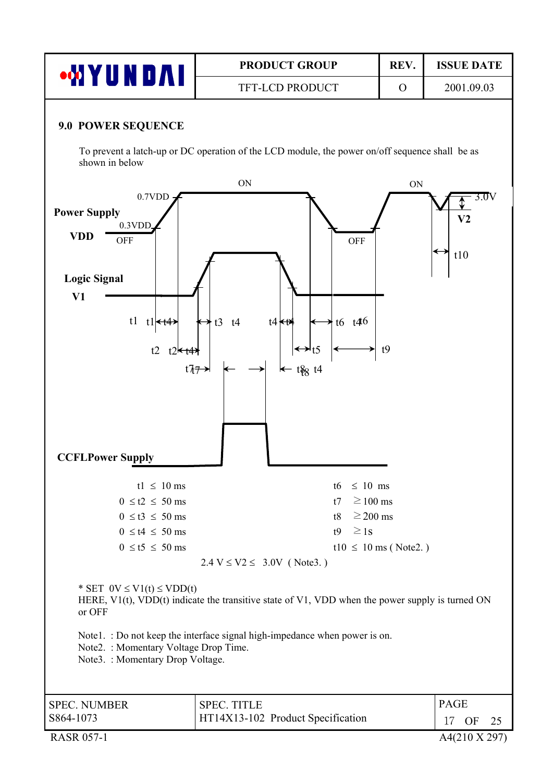| . .<br><b>TFT-LCD PRODUCT</b><br>2001.09.03 | $\mathbf{v}$ | <b>PRODUCT GROUP</b> | <b>REV</b> | <b>ISSUE DATE</b> |
|---------------------------------------------|--------------|----------------------|------------|-------------------|
|                                             |              |                      |            |                   |

#### **9.0 POWER SEQUENCE**

To prevent a latch-up or DC operation of the LCD module, the power on/off sequence shall be as shown in below

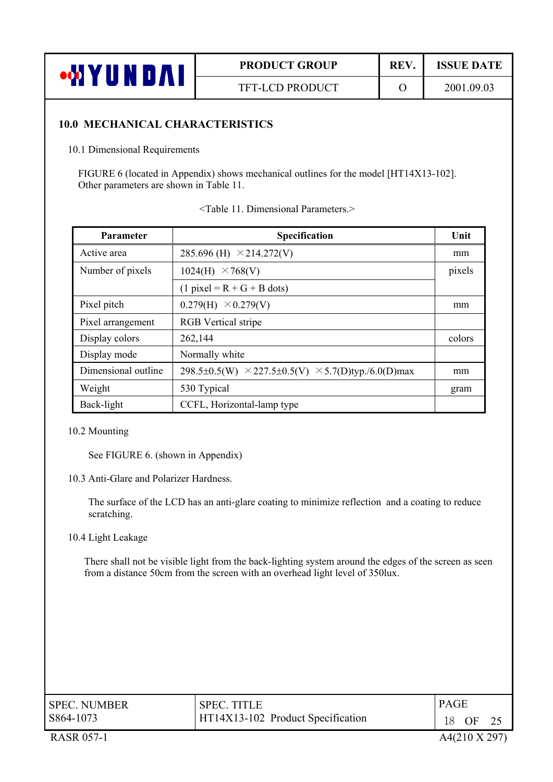| <b>ALI</b> | <b>PRODUCT GROUP</b>   | <b>REV</b> | <b>ISSUE DATE</b> |
|------------|------------------------|------------|-------------------|
| ┺<br>.     | <b>TFT-LCD PRODUCT</b> |            | 2001.09.03        |

#### **10.0 MECHANICAL CHARACTERISTICS**

10.1 Dimensional Requirements

FIGURE 6 (located in Appendix) shows mechanical outlines for the model [HT14X13-102]. Other parameters are shown in Table 11.

| Parameter           | Specification                                                    | Unit   |
|---------------------|------------------------------------------------------------------|--------|
| Active area         | 285.696 (H) $\times$ 214.272(V)                                  | mm     |
| Number of pixels    | 1024(H)<br>$\times$ 768(V)                                       | pixels |
|                     | $(1$ pixel = R + G + B dots)                                     |        |
| Pixel pitch         | 0.279(H)<br>$\times$ 0.279(V)                                    | mm     |
| Pixel arrangement   | <b>RGB</b> Vertical stripe                                       |        |
| Display colors      | 262,144                                                          | colors |
| Display mode        | Normally white                                                   |        |
| Dimensional outline | 298.5±0.5(W) $\times$ 227.5±0.5(V) $\times$ 5.7(D)typ./6.0(D)max | mm     |
| Weight              | 530 Typical                                                      | gram   |
| Back-light          | CCFL, Horizontal-lamp type                                       |        |

#### 10.2 Mounting

See FIGURE 6. (shown in Appendix)

10.3 Anti-Glare and Polarizer Hardness.

The surface of the LCD has an anti-glare coating to minimize reflection and a coating to reduce scratching.

10.4 Light Leakage

There shall not be visible light from the back-lighting system around the edges of the screen as seen from a distance 50cm from the screen with an overhead light level of 350lux.

| <b>SPEC. NUMBER</b> | <b>SPEC. TITLE</b>                | <b>PAGE</b> |  |
|---------------------|-----------------------------------|-------------|--|
| S864-1073           | HT14X13-102 Product Specification | OF          |  |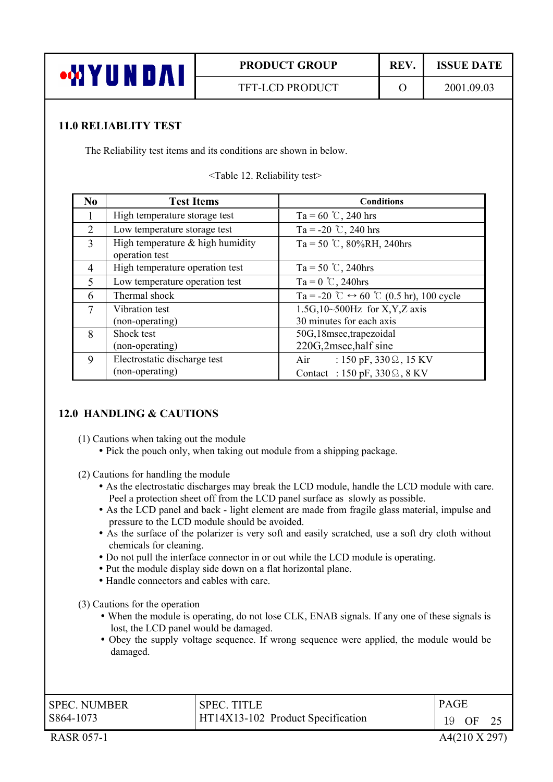

# **PRODUCT GROUP | REV. | ISSUE DATE**

#### **11.0 RELIABLITY TEST**

The Reliability test items and its conditions are shown in below.

<Table 12. Reliability test>

| N <sub>0</sub>              | <b>Test Items</b>                  | <b>Conditions</b>                                       |  |  |
|-----------------------------|------------------------------------|---------------------------------------------------------|--|--|
| L                           | High temperature storage test      | Ta = 60 °C, 240 hrs                                     |  |  |
| $\mathcal{D}_{\mathcal{L}}$ | Low temperature storage test       | Ta = -20 °C, 240 hrs                                    |  |  |
| 3                           | High temperature $&$ high humidity | Ta = 50 °C, 80%RH, 240hrs                               |  |  |
|                             | operation test                     |                                                         |  |  |
| 4                           | High temperature operation test    | $Ta = 50$ °C, 240hrs                                    |  |  |
| 5                           | Low temperature operation test     | Ta = $0^\circ$ C, 240hrs                                |  |  |
| 6                           | Thermal shock                      | Ta = -20 °C $\leftrightarrow$ 60 °C (0.5 hr), 100 cycle |  |  |
| 7                           | Vibration test                     | 1.5G, $10 \sim 500$ Hz for X, Y, Z axis                 |  |  |
|                             | (non-operating)                    | 30 minutes for each axis                                |  |  |
| 8                           | Shock test                         | 50G,18msec,trapezoidal                                  |  |  |
|                             | (non-operating)                    | 220G,2msec, half sine                                   |  |  |
| 9                           | Electrostatic discharge test       | : 150 pF, $330\Omega$ , 15 KV<br>Air                    |  |  |
|                             | (non-operating)                    | Contact : 150 pF, 330 $\Omega$ , 8 KV                   |  |  |

#### **12.0 HANDLING & CAUTIONS**

- (1) Cautions when taking out the module
	- Pick the pouch only, when taking out module from a shipping package.
- (2) Cautions for handling the module
	- As the electrostatic discharges may break the LCD module, handle the LCD module with care. Peel a protection sheet off from the LCD panel surface as slowly as possible.
	- As the LCD panel and back light element are made from fragile glass material, impulse and pressure to the LCD module should be avoided.
	- As the surface of the polarizer is very soft and easily scratched, use a soft dry cloth without chemicals for cleaning.
	- Do not pull the interface connector in or out while the LCD module is operating.
	- Put the module display side down on a flat horizontal plane.
	- Handle connectors and cables with care.

(3) Cautions for the operation

- When the module is operating, do not lose CLK, ENAB signals. If any one of these signals is lost, the LCD panel would be damaged.
- Obey the supply voltage sequence. If wrong sequence were applied, the module would be damaged.

| <b>SPEC. NUMBER</b> | <b>SPEC. TITLE</b>                | PAGE     |
|---------------------|-----------------------------------|----------|
| S864-1073           | HT14X13-102 Product Specification | 19<br>OF |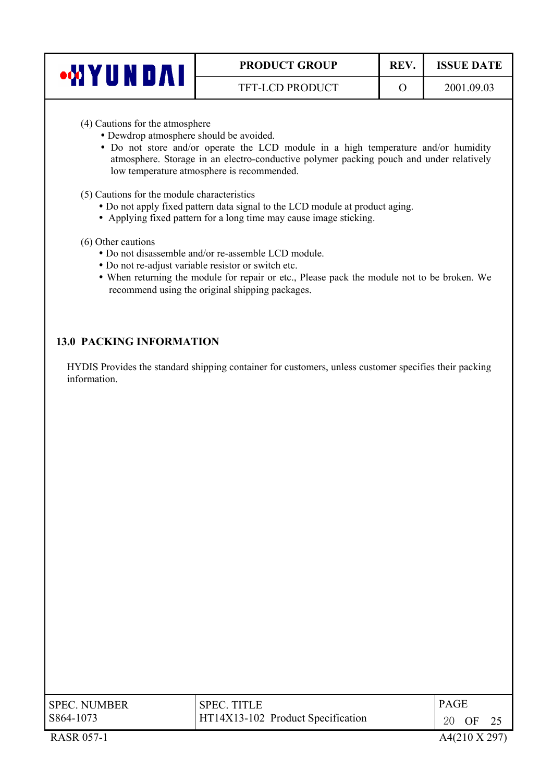| J<br>, IV | <b>PRODUCT GROUP</b>   | <b>REV</b> | <b>ISSUE DATE</b> |
|-----------|------------------------|------------|-------------------|
|           | <b>TFT-LCD PRODUCT</b> |            | 2001.09.03        |

- (4) Cautions for the atmosphere
	- Dewdrop atmosphere should be avoided.
	- Do not store and/or operate the LCD module in a high temperature and/or humidity atmosphere. Storage in an electro-conductive polymer packing pouch and under relatively low temperature atmosphere is recommended.
- (5) Cautions for the module characteristics
	- Do not apply fixed pattern data signal to the LCD module at product aging.
	- Applying fixed pattern for a long time may cause image sticking.
- (6) Other cautions
	- Do not disassemble and/or re-assemble LCD module.
	- Do not re-adjust variable resistor or switch etc.
	- When returning the module for repair or etc., Please pack the module not to be broken. We recommend using the original shipping packages.

#### **13.0 PACKING INFORMATION**

HYDIS Provides the standard shipping container for customers, unless customer specifies their packing information.

| <b>SPEC. NUMBER</b> | <b>SPEC. TITLE</b>                | <b>PAGE</b> |    |  |
|---------------------|-----------------------------------|-------------|----|--|
| S864-1073           | HT14X13-102 Product Specification | 20          | OF |  |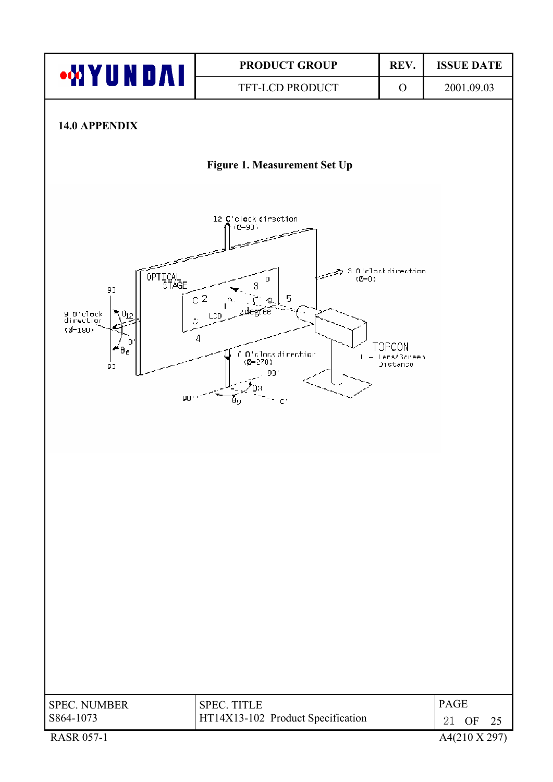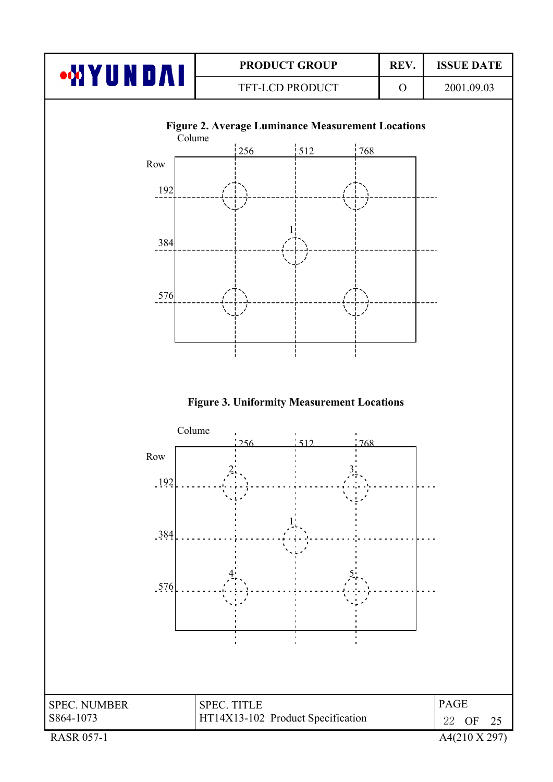

SPEC. NUMBER SPEC. TITLE PAGE S864-1073 SPEC. TITLE HT14X13-102 Product Specification  $\begin{array}{|l|}\n22\text{ OF }25\n\end{array}$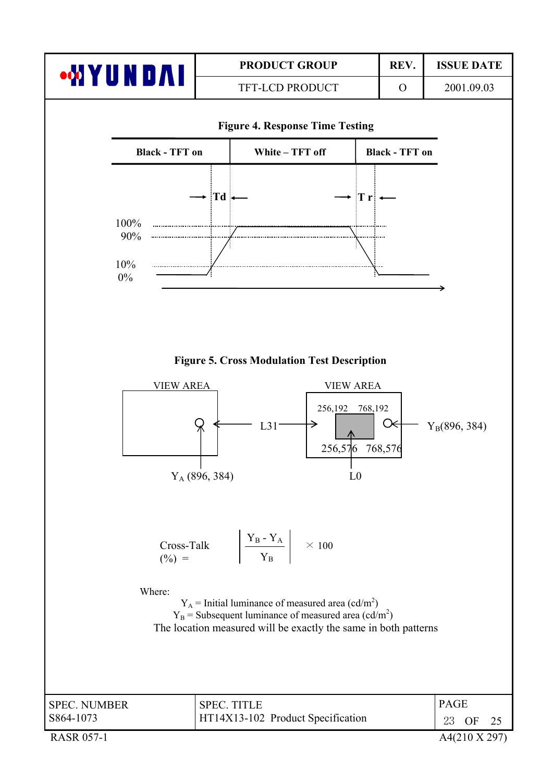|                                                                       |                                                                 | <b>PRODUCT GROUP</b>                                                                                                                                                                                                                                                                                                                                                                                                      |                                     | REV.                  | <b>ISSUE DATE</b>                              |
|-----------------------------------------------------------------------|-----------------------------------------------------------------|---------------------------------------------------------------------------------------------------------------------------------------------------------------------------------------------------------------------------------------------------------------------------------------------------------------------------------------------------------------------------------------------------------------------------|-------------------------------------|-----------------------|------------------------------------------------|
| <b>WYUNDAI</b>                                                        |                                                                 | TFT-LCD PRODUCT                                                                                                                                                                                                                                                                                                                                                                                                           |                                     | $\mathbf{O}$          | 2001.09.03                                     |
|                                                                       |                                                                 | <b>Figure 4. Response Time Testing</b>                                                                                                                                                                                                                                                                                                                                                                                    |                                     |                       |                                                |
| <b>Black - TFT on</b>                                                 |                                                                 | White - TFT off                                                                                                                                                                                                                                                                                                                                                                                                           |                                     | <b>Black - TFT on</b> |                                                |
| 100%<br>90%<br>10%<br>$0\%$<br><b>VIEW AREA</b><br>$(\%) =$<br>Where: | $\rightarrow$ Td $\leftarrow$<br>$Y_A$ (896, 384)<br>Cross-Talk | <b>Figure 5. Cross Modulation Test Description</b><br><b>VIEW AREA</b><br>256,192<br>L31<br>256,576<br>L <sub>0</sub><br>$\begin{array}{ c c c }\n\hline\nY_B - Y_A \\ \hline\nY_B\n\end{array}$ $\times 100$<br>$Y_A$ = Initial luminance of measured area (cd/m <sup>2</sup> )<br>$Y_B$ = Subsequent luminance of measured area (cd/m <sup>2</sup> )<br>The location measured will be exactly the same in both patterns | $\star$ Tri $\leftarrow$<br>768,192 | Œ<br>768,576          | $Y_B(896, 384)$                                |
| <b>SPEC. NUMBER</b><br>S864-1073<br><b>RASR 057-1</b>                 |                                                                 | <b>SPEC. TITLE</b><br>HT14X13-102 Product Specification                                                                                                                                                                                                                                                                                                                                                                   |                                     |                       | <b>PAGE</b><br>23<br>OF<br>25<br>A4(210 X 297) |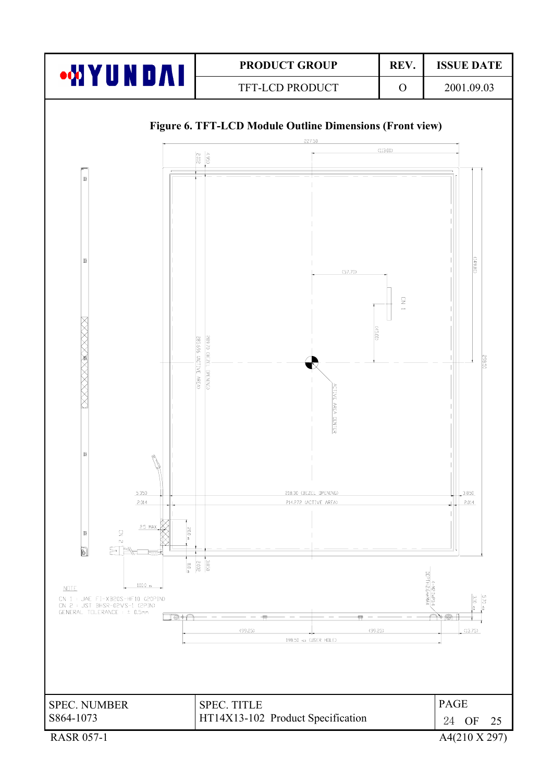